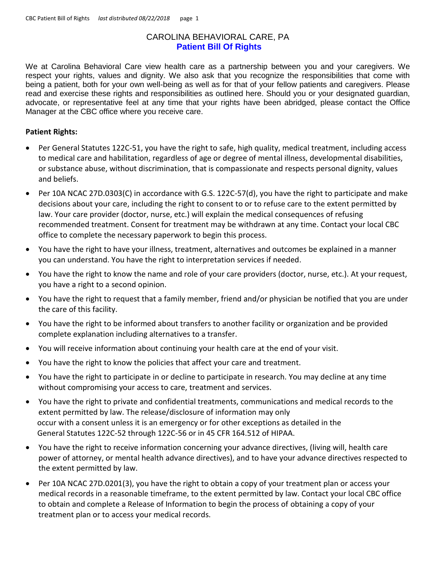## CAROLINA BEHAVIORAL CARE, PA **Patient Bill Of Rights**

We at Carolina Behavioral Care view health care as a partnership between you and your caregivers. We respect your rights, values and dignity. We also ask that you recognize the responsibilities that come with being a patient, both for your own well-being as well as for that of your fellow patients and caregivers. Please read and exercise these rights and responsibilities as outlined here. Should you or your designated guardian, advocate, or representative feel at any time that your rights have been abridged, please contact the Office Manager at the CBC office where you receive care.

## **Patient Rights:**

- Per General Statutes 122C-51, you have the right to safe, high quality, medical treatment, including access to medical care and habilitation, regardless of age or degree of mental illness, developmental disabilities, or substance abuse, without discrimination, that is compassionate and respects personal dignity, values and beliefs.
- Per 10A NCAC 27D.0303(C) in accordance with G.S. 122C-57(d), you have the right to participate and make decisions about your care, including the right to consent to or to refuse care to the extent permitted by law. Your care provider (doctor, nurse, etc.) will explain the medical consequences of refusing recommended treatment. Consent for treatment may be withdrawn at any time. Contact your local CBC office to complete the necessary paperwork to begin this process.
- You have the right to have your illness, treatment, alternatives and outcomes be explained in a manner you can understand. You have the right to interpretation services if needed.
- You have the right to know the name and role of your care providers (doctor, nurse, etc.). At your request, you have a right to a second opinion.
- You have the right to request that a family member, friend and/or physician be notified that you are under the care of this facility.
- You have the right to be informed about transfers to another facility or organization and be provided complete explanation including alternatives to a transfer.
- You will receive information about continuing your health care at the end of your visit.
- You have the right to know the policies that affect your care and treatment.
- You have the right to participate in or decline to participate in research. You may decline at any time without compromising your access to care, treatment and services.
- You have the right to private and confidential treatments, communications and medical records to the extent permitted by law. The release/disclosure of information may only occur with a consent unless it is an emergency or for other exceptions as detailed in the General Statutes 122C-52 through 122C-56 or in 45 CFR 164.512 of HIPAA.
- You have the right to receive information concerning your advance directives, (living will, health care power of attorney, or mental health advance directives), and to have your advance directives respected to the extent permitted by law.
- Per 10A NCAC 27D.0201(3), you have the right to obtain a copy of your treatment plan or access your medical records in a reasonable timeframe, to the extent permitted by law. Contact your local CBC office to obtain and complete a Release of Information to begin the process of obtaining a copy of your treatment plan or to access your medical records.